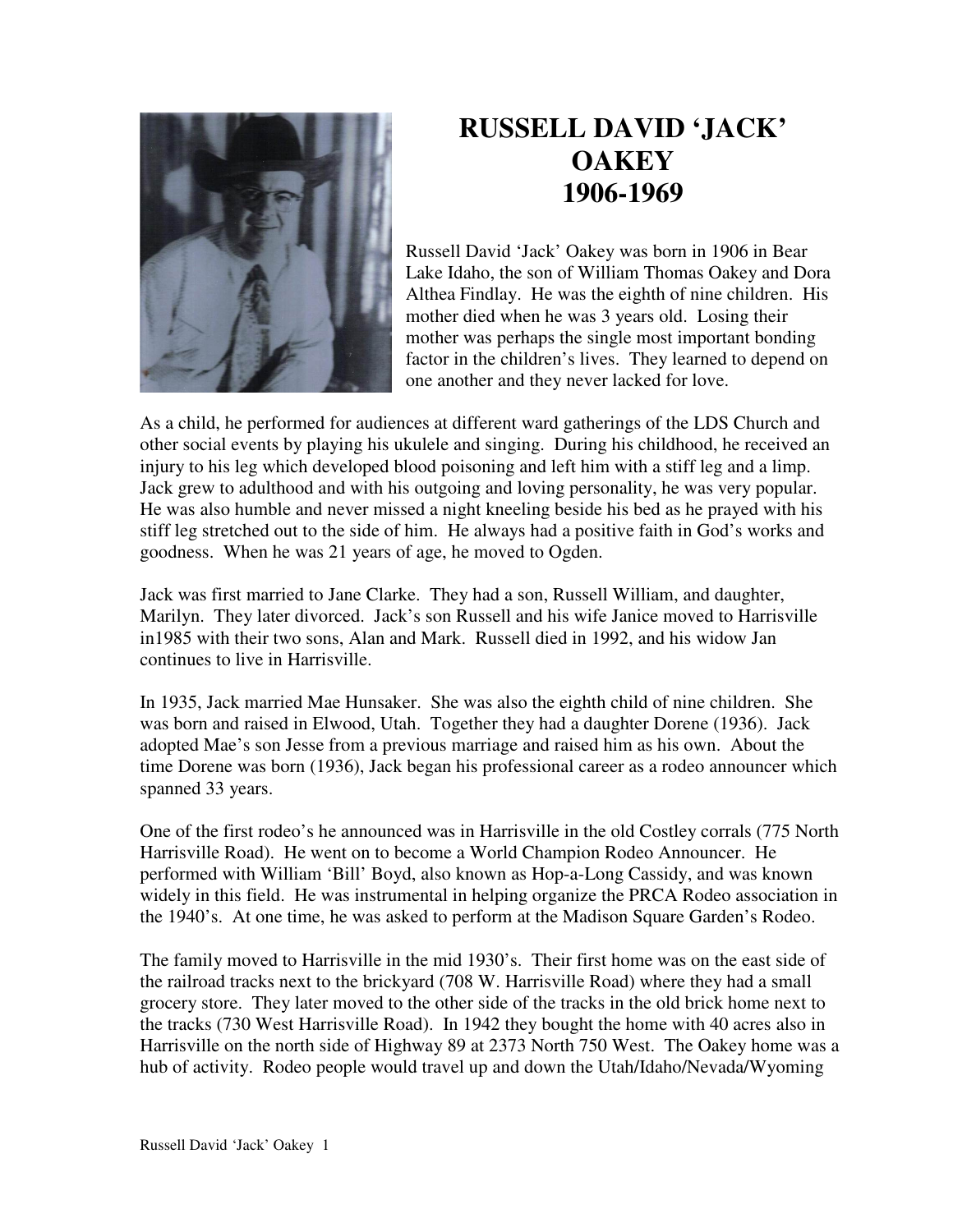

## **RUSSELL DAVID 'JACK' OAKEY 1906-1969**

Russell David 'Jack' Oakey was born in 1906 in Bear Lake Idaho, the son of William Thomas Oakey and Dora Althea Findlay. He was the eighth of nine children. His mother died when he was 3 years old. Losing their mother was perhaps the single most important bonding factor in the children's lives. They learned to depend on one another and they never lacked for love.

As a child, he performed for audiences at different ward gatherings of the LDS Church and other social events by playing his ukulele and singing. During his childhood, he received an injury to his leg which developed blood poisoning and left him with a stiff leg and a limp. Jack grew to adulthood and with his outgoing and loving personality, he was very popular. He was also humble and never missed a night kneeling beside his bed as he prayed with his stiff leg stretched out to the side of him. He always had a positive faith in God's works and goodness. When he was 21 years of age, he moved to Ogden.

Jack was first married to Jane Clarke. They had a son, Russell William, and daughter, Marilyn. They later divorced. Jack's son Russell and his wife Janice moved to Harrisville in1985 with their two sons, Alan and Mark. Russell died in 1992, and his widow Jan continues to live in Harrisville.

In 1935, Jack married Mae Hunsaker. She was also the eighth child of nine children. She was born and raised in Elwood, Utah. Together they had a daughter Dorene (1936). Jack adopted Mae's son Jesse from a previous marriage and raised him as his own. About the time Dorene was born (1936), Jack began his professional career as a rodeo announcer which spanned 33 years.

One of the first rodeo's he announced was in Harrisville in the old Costley corrals (775 North Harrisville Road). He went on to become a World Champion Rodeo Announcer. He performed with William 'Bill' Boyd, also known as Hop-a-Long Cassidy, and was known widely in this field. He was instrumental in helping organize the PRCA Rodeo association in the 1940's. At one time, he was asked to perform at the Madison Square Garden's Rodeo.

The family moved to Harrisville in the mid 1930's. Their first home was on the east side of the railroad tracks next to the brickyard (708 W. Harrisville Road) where they had a small grocery store. They later moved to the other side of the tracks in the old brick home next to the tracks (730 West Harrisville Road). In 1942 they bought the home with 40 acres also in Harrisville on the north side of Highway 89 at 2373 North 750 West. The Oakey home was a hub of activity. Rodeo people would travel up and down the Utah/Idaho/Nevada/Wyoming